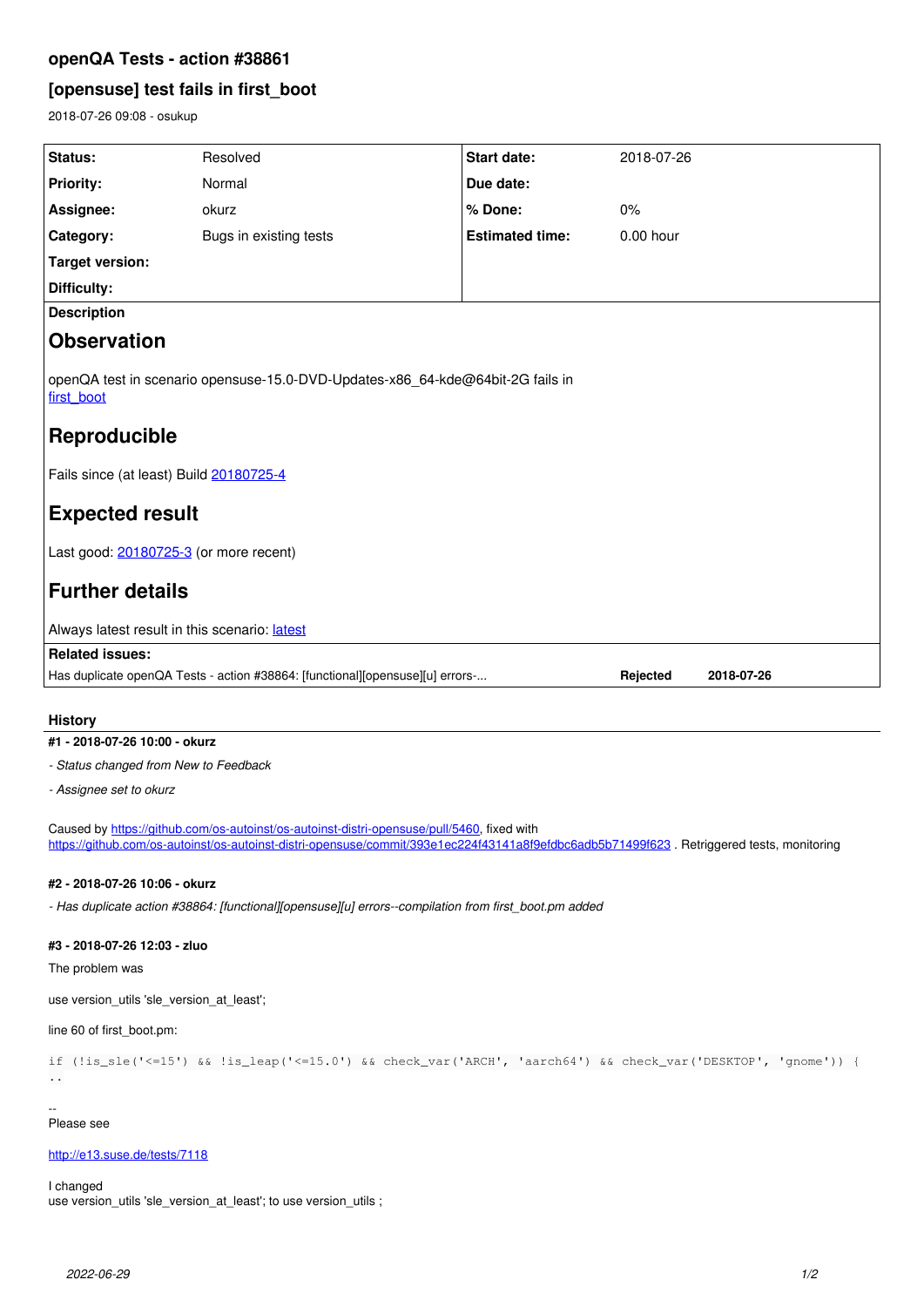# **openQA Tests - action #38861**

# **[opensuse] test fails in first\_boot**

2018-07-26 09:08 - osukup

| Status:                                                                                                      | Resolved               | Start date:            | 2018-07-26 |            |
|--------------------------------------------------------------------------------------------------------------|------------------------|------------------------|------------|------------|
| <b>Priority:</b>                                                                                             | Normal                 | Due date:              |            |            |
| Assignee:                                                                                                    | okurz                  | % Done:                | 0%         |            |
| Category:                                                                                                    | Bugs in existing tests | <b>Estimated time:</b> | 0.00 hour  |            |
| <b>Target version:</b>                                                                                       |                        |                        |            |            |
| Difficulty:                                                                                                  |                        |                        |            |            |
| <b>Description</b>                                                                                           |                        |                        |            |            |
| <b>Observation</b>                                                                                           |                        |                        |            |            |
| openQA test in scenario opensuse-15.0-DVD-Updates-x86 64-kde@64bit-2G fails in<br>first boot<br>Reproducible |                        |                        |            |            |
|                                                                                                              |                        |                        |            |            |
| Fails since (at least) Build 20180725-4                                                                      |                        |                        |            |            |
| <b>Expected result</b>                                                                                       |                        |                        |            |            |
| Last good: 20180725-3 (or more recent)                                                                       |                        |                        |            |            |
| <b>Further details</b>                                                                                       |                        |                        |            |            |
| Always latest result in this scenario: latest                                                                |                        |                        |            |            |
| <b>Related issues:</b>                                                                                       |                        |                        |            |            |
| Has duplicate openQA Tests - action #38864: [functional][opensuse][u] errors-                                |                        |                        | Rejected   | 2018-07-26 |

## **History**

## **#1 - 2018-07-26 10:00 - okurz**

*- Status changed from New to Feedback*

*- Assignee set to okurz*

Caused by <https://github.com/os-autoinst/os-autoinst-distri-opensuse/pull/5460>, fixed with <https://github.com/os-autoinst/os-autoinst-distri-opensuse/commit/393e1ec224f43141a8f9efdbc6adb5b71499f623>. Retriggered tests, monitoring

#### **#2 - 2018-07-26 10:06 - okurz**

*- Has duplicate action #38864: [functional][opensuse][u] errors--compilation from first\_boot.pm added*

#### **#3 - 2018-07-26 12:03 - zluo**

The problem was

use version\_utils 'sle\_version\_at\_least';

line 60 of first\_boot.pm:

```
if (!is_sle('<=15') && !is_leap('<=15.0') && check_var('ARCH', 'aarch64') && check_var('DESKTOP', 'gnome')) {
..
```
-- Please see

#### <http://e13.suse.de/tests/7118>

I changed

use version\_utils 'sle\_version\_at\_least'; to use version\_utils ;